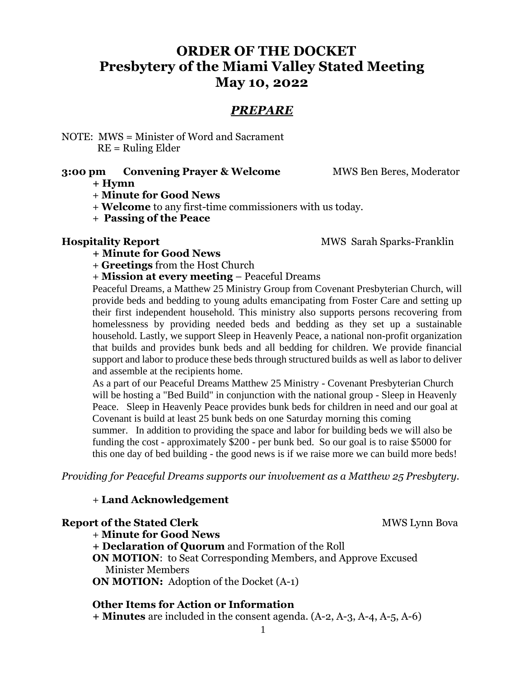# **ORDER OF THE DOCKET Presbytery of the Miami Valley Stated Meeting May 10, 2022**

# *PREPARE*

NOTE: MWS = Minister of Word and Sacrament RE = Ruling Elder

### **3:00 pm Convening Prayer & Welcome** MWS Ben Beres, Moderator

**+ Hymn**

- + **Minute for Good News**
- + **Welcome** to any first-time commissioners with us today.
- + **Passing of the Peace**

**Hospitality Report** MWS Sarah Sparks-Franklin

**+ Minute for Good News**

- + **Greetings** from the Host Church
- + **Mission at every meeting** Peaceful Dreams

Peaceful Dreams, a Matthew 25 Ministry Group from Covenant Presbyterian Church, will provide beds and bedding to young adults emancipating from Foster Care and setting up their first independent household. This ministry also supports persons recovering from homelessness by providing needed beds and bedding as they set up a sustainable household. Lastly, we support Sleep in Heavenly Peace, a national non-profit organization that builds and provides bunk beds and all bedding for children. We provide financial support and labor to produce these beds through structured builds as well as labor to deliver and assemble at the recipients home.

As a part of our Peaceful Dreams Matthew 25 Ministry - Covenant Presbyterian Church will be hosting a "Bed Build" in conjunction with the national group - Sleep in Heavenly Peace. Sleep in Heavenly Peace provides bunk beds for children in need and our goal at Covenant is build at least 25 bunk beds on one Saturday morning this coming summer. In addition to providing the space and labor for building beds we will also be funding the cost - approximately \$200 - per bunk bed. So our goal is to raise \$5000 for this one day of bed building - the good news is if we raise more we can build more beds!

*Providing for Peaceful Dreams supports our involvement as a Matthew 25 Presbytery.*

### + **Land Acknowledgement**

**Report of the Stated Clerk**  MWS Lynn Bova

+ **Minute for Good News**

**+ Declaration of Quorum** and Formation of the Roll **ON MOTION**: to Seat Corresponding Members, and Approve Excused Minister Members **ON MOTION:** Adoption of the Docket (A-1)

#### **Other Items for Action or Information**

**+ Minutes** are included in the consent agenda. (A-2, A-3, A-4, A-5, A-6)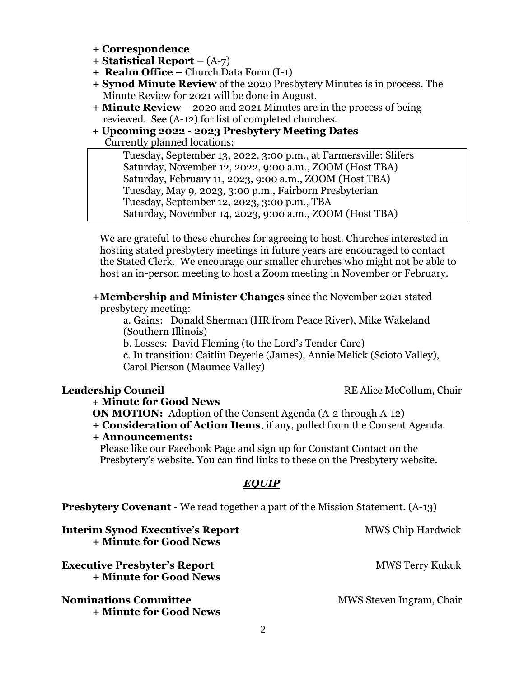- **+ Correspondence**
- **+ Statistical Report –** (A-7)
- **+ Realm Office –** Church Data Form (I-1)
- **+ Synod Minute Review** of the 2020 Presbytery Minutes is in process. The Minute Review for 2021 will be done in August.
- **+ Minute Review** 2020 and 2021 Minutes are in the process of being reviewed. See (A-12) for list of completed churches.
- + **Upcoming 2022 - 2023 Presbytery Meeting Dates**  Currently planned locations:

Tuesday, September 13, 2022, 3:00 p.m., at Farmersville: Slifers Saturday, November 12, 2022, 9:00 a.m., ZOOM (Host TBA) Saturday, February 11, 2023, 9:00 a.m., ZOOM (Host TBA) Tuesday, May 9, 2023, 3:00 p.m., Fairborn Presbyterian Tuesday, September 12, 2023, 3:00 p.m., TBA Saturday, November 14, 2023, 9:00 a.m., ZOOM (Host TBA)

 We are grateful to these churches for agreeing to host. Churches interested in hosting stated presbytery meetings in future years are encouraged to contact the Stated Clerk. We encourage our smaller churches who might not be able to host an in-person meeting to host a Zoom meeting in November or February.

#### **+Membership and Minister Changes** since the November 2021 stated presbytery meeting:

a. Gains: Donald Sherman (HR from Peace River), Mike Wakeland (Southern Illinois)

b. Losses: David Fleming (to the Lord's Tender Care)

c. In transition: Caitlin Deyerle (James), Annie Melick (Scioto Valley), Carol Pierson (Maumee Valley)

+ **Minute for Good News**

**ON MOTION:** Adoption of the Consent Agenda (A-2 through A-12)

#### **+ Consideration of Action Items**, if any, pulled from the Consent Agenda. **+ Announcements:**

 Please like our Facebook Page and sign up for Constant Contact on the Presbytery's website. You can find links to these on the Presbytery website.

#### *EQUIP*

**Presbytery Covenant** - We read together a part of the Mission Statement. (A-13)

| <b>Interim Synod Executive's Report</b><br>+ Minute for Good News | <b>MWS Chip Hardwick</b> |
|-------------------------------------------------------------------|--------------------------|
| <b>Executive Presbyter's Report</b><br>+ Minute for Good News     | <b>MWS Terry Kukuk</b>   |
| <b>Nominations Committee</b><br>+ Minute for Good News            | MWS Steven Ingram, Chair |

**Leadership Council RE** Alice McCollum, Chair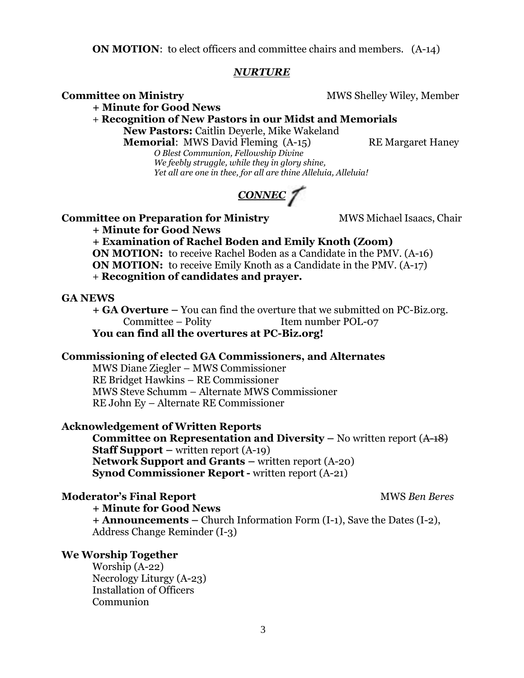**ON MOTION:** to elect officers and committee chairs and members. (A-14)

#### *NURTURE*

**Committee on Ministry**  MWS Shelley Wiley, Member

**+ Minute for Good News**

+ **Recognition of New Pastors in our Midst and Memorials New Pastors:** Caitlin Deyerle, Mike Wakeland

**Memorial:** MWS David Fleming (A-15) RE Margaret Haney

*O Blest Communion, Fellowship Divine We feebly struggle, while they in glory shine, Yet all are one in thee, for all are thine Alleluia, Alleluia!*



#### **Committee on Preparation for Ministry MWS Michael Isaacs, Chair**

**+ Minute for Good News**

**+ Examination of Rachel Boden and Emily Knoth (Zoom) ON MOTION:** to receive Rachel Boden as a Candidate in the PMV. (A-16) **ON MOTION:** to receive Emily Knoth as a Candidate in the PMV. (A-17)

+ **Recognition of candidates and prayer.**

#### **GA NEWS**

**+ GA Overture –** You can find the overture that we submitted on PC-Biz.org. Committee – Polity Item number POL-07

**You can find all the overtures at PC-Biz.org!**

### **Commissioning of elected GA Commissioners, and Alternates**

MWS Diane Ziegler – MWS Commissioner RE Bridget Hawkins – RE Commissioner MWS Steve Schumm – Alternate MWS Commissioner RE John Ey – Alternate RE Commissioner

### **Acknowledgement of Written Reports**

**Committee on Representation and Diversity – No written report (A-18) Staff Support** – written report (A-19) **Network Support and Grants** – written report (A-20) **Synod Commissioner Report-** written report (A-21)

#### **Moderator's Final Report**  The Constantine of the MWS *Ben Beres* **MWS** *Ben Beres*

**+ Minute for Good News + Announcements –** Church Information Form (I-1), Save the Dates (I-2),

Address Change Reminder (I-3)

### **We Worship Together**

Worship (A-22) Necrology Liturgy (A-23) Installation of Officers Communion